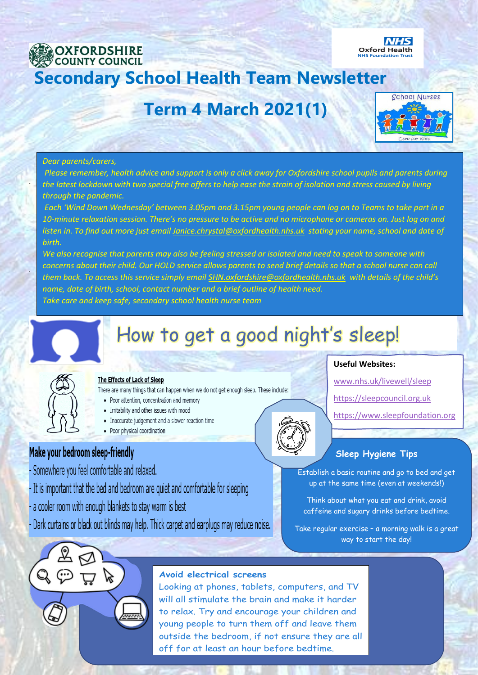

# **Term 4 March 2021(1)**



#### *Dear parents/carers,*

.

.

*Please remember, health advice and support is only a click away for Oxfordshire school pupils and parents during the latest lockdown with two special free offers to help ease the strain of isolation and stress caused by living through the pandemic.*

*Each 'Wind Down Wednesday' between 3.05pm and 3.15pm young people can log on to Teams to take part in a 10-minute relaxation session. There's no pressure to be active and no microphone or cameras on. Just log on and listen in. To find out more just email [Janice.chrystal@oxfordhealth.nhs.uk](mailto:Janice.chrystal@oxfordhealth.nhs.uk) stating your name, school and date of birth.*

*We also recognise that parents may also be feeling stressed or isolated and need to speak to someone with*  concerns about their child. Our HOLD service allows parents to send brief details so that a school nurse can call *them back. To access this service simply emai[l SHN.oxfordshire@oxfordhealth.nhs.uk](mailto:SHN.oxfordshire@oxfordhealth.nhs.uk) with details of the child's name, date of birth, school, contact number and a brief outline of health need. Take care and keep safe, secondary school health nurse team*

# How to get a good night's sleep!



#### The Effects of Lack of Sleep

There are many things that can happen when we do not get enough sleep. These include:

- Poor attention, concentration and memory
- Irritability and other issues with mood
- Inaccurate judgement and a slower reaction time
- Poor physical coordination

# Make your bedroom sleep-friendly

- Somewhere you feel comfortable and relaxed.
- It is important that the bed and bedroom are quiet and comfortable for sleeping
- a cooler room with enough blankets to stay warm is best
- Dark curtains or black out blinds may help. Thick carpet and earplugs may reduce noise.

#### **Useful Websites:**

[www.nhs.uk/livewell/sleep](http://www.nhs.uk/livewell/sleep)

[https://sleepcouncil.org.uk](https://sleepcouncil.org.uk/)

[https://www.sleepfoundation.org](https://www.sleepfoundation.org/)

# **Sleep Hygiene Tips**

Establish a basic routine and go to bed and get up at the same time (even at weekends!)

Think about what you eat and drink, avoid caffeine and sugary drinks before bedtime.

Take regular exercise – a morning walk is a great way to start the day!



### **Avoid electrical screens**

Looking at phones, tablets, computers, and TV will all stimulate the brain and make it harder to relax. Try and encourage your children and young people to turn them off and leave them outside the bedroom, if not ensure they are all off for at least an hour before bedtime.